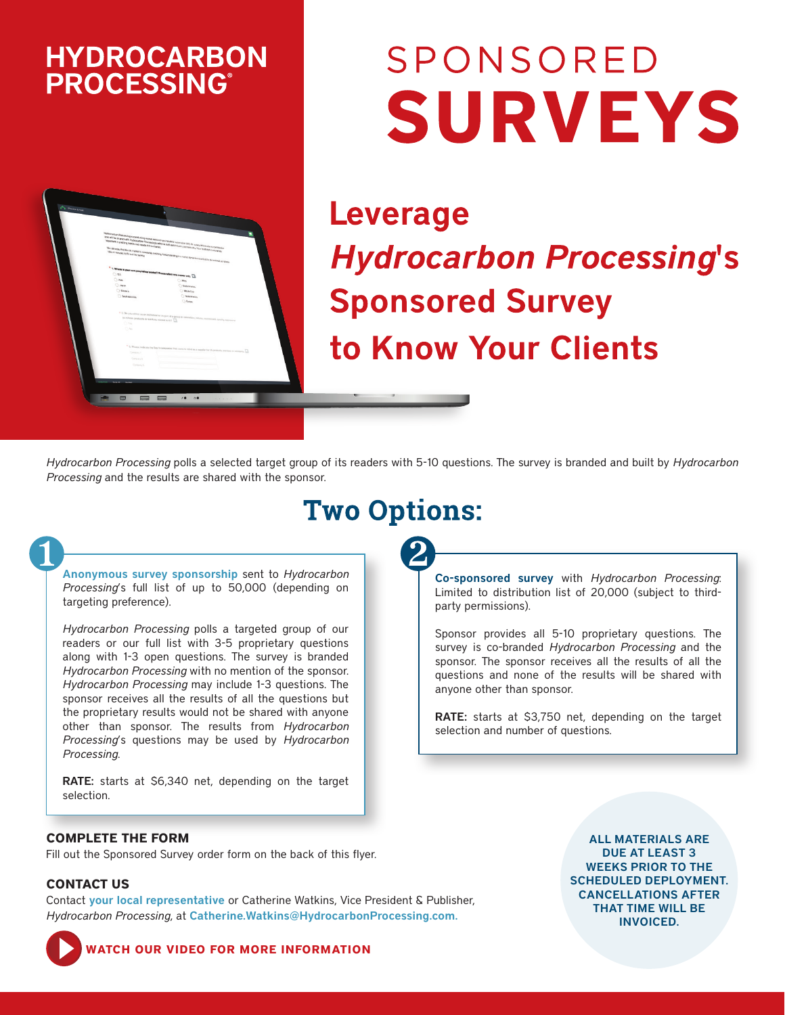## **HYDROCARBON PROCESSING®**



# SPONSORED **SURVEYS**

**Leverage Hydrocarbon Processing's Sponsored Survey** to Know Your Clients

*Hydrocarbon Processing* polls a selected target group of its readers with 5-10 questions. The survey is branded and built by *Hydrocarbon Processing* and the results are shared with the sponsor.

# **Two Options:**

Anonymous survey sponsorship sent to *Hydrocarbon Processing*'s full list of up to 50,000 (depending on targeting preference).

*Hydrocarbon Processing* polls a targeted group of our readers or our full list with 3-5 proprietary questions along with 1-3 open questions. The survey is branded *Hydrocarbon Processing* with no mention of the sponsor. *Hydrocarbon Processing* may include 1-3 questions. The sponsor receives all the results of all the questions but the proprietary results would not be shared with anyone other than sponsor. The results from *Hydrocarbon Processing*'s questions may be used by *Hydrocarbon Processing.* 

RATE: starts at \$6,340 net, depending on the target selection.

#### **COMPLETE THE FORM**

Fill out the Sponsored Survey order form on the back of this flyer.

#### **CONTACT US**

Contact [your local representative](https://www.hydrocarbonprocessing.com/pages/advertising-contacts) or Catherine Watkins, Vice President & Publisher, *Hydrocarbon Processing*, at [Catherine.Watkins@HydrocarbonProcessing.com](mailto:Catherine.Watkins%40HydrocarbonProcessing.com?subject=HP%20Sponsored%20Survey).

Co-sponsored survey with *Hydrocarbon Processing*: Limited to distribution list of 20,000 (subject to thirdparty permissions).

Sponsor provides all 5-10 proprietary questions. The survey is co-branded *Hydrocarbon Processing* and the sponsor. The sponsor receives all the results of all the questions and none of the results will be shared with anyone other than sponsor.

RATE: starts at \$3,750 net, depending on the target selection and number of questions.

> ALL MATERIALS ARE DUE AT LEAST 3 WEEKS PRIOR TO THE SCHEDULED DEPLOYMENT. CANCELLATIONS AFTER THAT TIME WILL BE INVOICED.